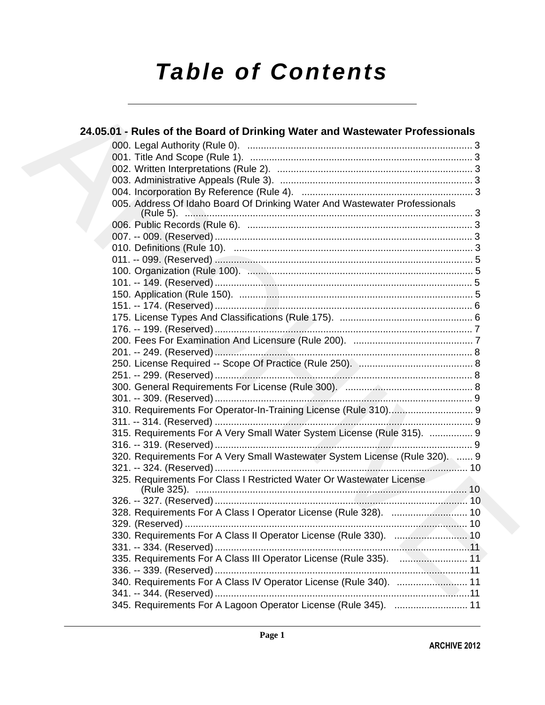# **Table of Contents**

| 24.05.01 - Rules of the Board of Drinking Water and Wastewater Professionals |
|------------------------------------------------------------------------------|
|                                                                              |
|                                                                              |
|                                                                              |
|                                                                              |
|                                                                              |
| 005. Address Of Idaho Board Of Drinking Water And Wastewater Professionals   |
|                                                                              |
|                                                                              |
|                                                                              |
|                                                                              |
|                                                                              |
|                                                                              |
|                                                                              |
|                                                                              |
|                                                                              |
|                                                                              |
|                                                                              |
|                                                                              |
|                                                                              |
|                                                                              |
|                                                                              |
|                                                                              |
| 310. Requirements For Operator-In-Training License (Rule 310) 9              |
|                                                                              |
| 315. Requirements For A Very Small Water System License (Rule 315).  9       |
|                                                                              |
| 320. Requirements For A Very Small Wastewater System License (Rule 320).  9  |
|                                                                              |
| 325. Requirements For Class I Restricted Water Or Wastewater License         |
|                                                                              |
|                                                                              |
| 328. Requirements For A Class I Operator License (Rule 328).  10             |
|                                                                              |
| 330. Requirements For A Class II Operator License (Rule 330).  10            |
|                                                                              |
| 335. Requirements For A Class III Operator License (Rule 335).  11           |
|                                                                              |
| 340. Requirements For A Class IV Operator License (Rule 340).  11            |
|                                                                              |
| 345. Requirements For A Lagoon Operator License (Rule 345).  11              |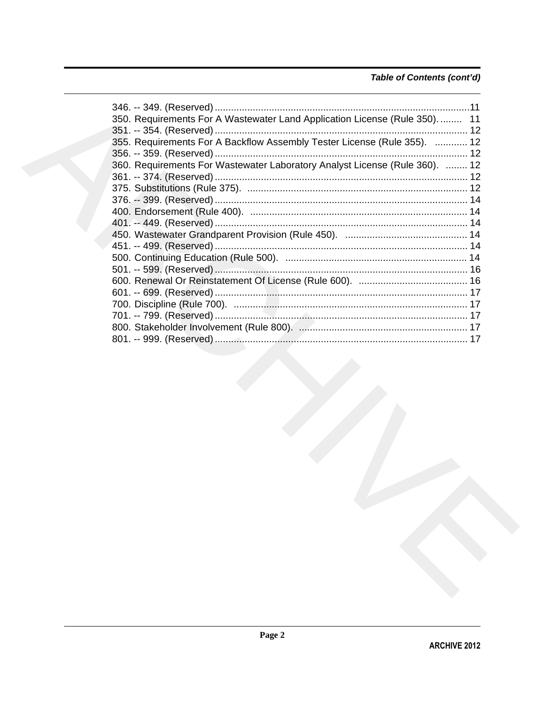# Table of Contents (cont'd)

| 350. Requirements For A Wastewater Land Application License (Rule 350)      | 11 |
|-----------------------------------------------------------------------------|----|
| 355. Requirements For A Backflow Assembly Tester License (Rule 355).  12    |    |
|                                                                             |    |
| 360. Requirements For Wastewater Laboratory Analyst License (Rule 360).  12 |    |
|                                                                             |    |
|                                                                             |    |
|                                                                             |    |
|                                                                             |    |
|                                                                             |    |
|                                                                             |    |
|                                                                             |    |
|                                                                             |    |
|                                                                             |    |
|                                                                             |    |
|                                                                             |    |
|                                                                             |    |
|                                                                             |    |
|                                                                             |    |
|                                                                             |    |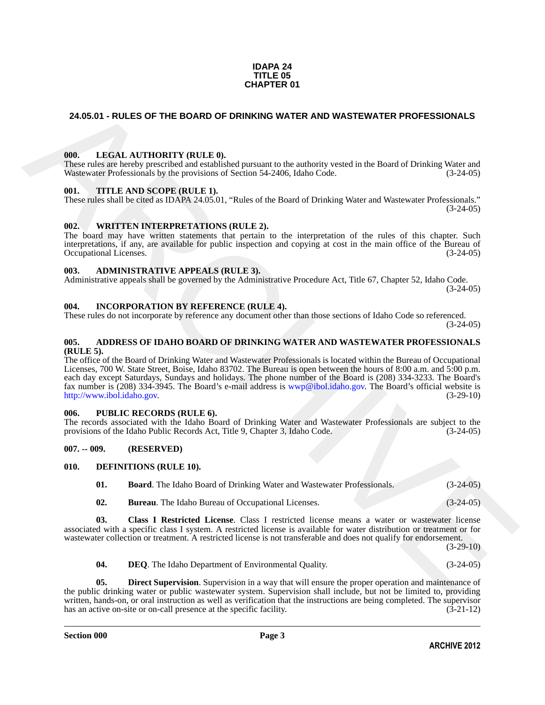### **IDAPA 24 TITLE 05 CHAPTER 01**

### <span id="page-2-0"></span>**24.05.01 - RULES OF THE BOARD OF DRINKING WATER AND WASTEWATER PROFESSIONALS**

### <span id="page-2-1"></span>**000. LEGAL AUTHORITY (RULE 0).**

These rules are hereby prescribed and established pursuant to the authority vested in the Board of Drinking Water and Wastewater Professionals by the provisions of Section 54-2406, Idaho Code. (3-24-05)

### <span id="page-2-2"></span>**001. TITLE AND SCOPE (RULE 1).**

These rules shall be cited as IDAPA 24.05.01, "Rules of the Board of Drinking Water and Wastewater Professionals."  $(3-24-05)$ 

### <span id="page-2-3"></span>**002. WRITTEN INTERPRETATIONS (RULE 2).**

The board may have written statements that pertain to the interpretation of the rules of this chapter. Such interpretations, if any, are available for public inspection and copying at cost in the main office of the Bureau of Occupational Licenses. (3-24-05) Occupational Licenses.

### <span id="page-2-4"></span>**003. ADMINISTRATIVE APPEALS (RULE 3).**

Administrative appeals shall be governed by the Administrative Procedure Act, Title 67, Chapter 52, Idaho Code. (3-24-05)

### <span id="page-2-5"></span>**004. INCORPORATION BY REFERENCE (RULE 4).**

These rules do not incorporate by reference any document other than those sections of Idaho Code so referenced. (3-24-05)

### <span id="page-2-6"></span>**005. ADDRESS OF IDAHO BOARD OF DRINKING WATER AND WASTEWATER PROFESSIONALS (RULE 5).**

**24.05.01 - RULES OF THE BOARD OF DRINKING WATER AND WASTEWATER PROFESSIONALS<br>
1990.** IEEGAL AITHYORTY (RITE.0), with content of the filter of the filter of the filtration of the filtration of the state of the filtration The office of the Board of Drinking Water and Wastewater Professionals is located within the Bureau of Occupational Licenses, 700 W. State Street, Boise, Idaho 83702. The Bureau is open between the hours of 8:00 a.m. and 5:00 p.m. each day except Saturdays, Sundays and holidays. The phone number of the Board is (208) 334-3233. The Board's fax number is (208) 334-3945. The Board's e-mail address is wwp@ibol.idaho.gov. The Board's official website is http://www.ibol.idaho.gov. (3-29-10) http://www.ibol.idaho.gov.

### <span id="page-2-7"></span>**006. PUBLIC RECORDS (RULE 6).**

The records associated with the Idaho Board of Drinking Water and Wastewater Professionals are subject to the provisions of the Idaho Public Records Act, Title 9, Chapter 3, Idaho Code. (3-24-05) provisions of the Idaho Public Records Act, Title 9, Chapter 3, Idaho Code.

### <span id="page-2-8"></span>**007. -- 009. (RESERVED)**

### <span id="page-2-9"></span>**010. DEFINITIONS (RULE 10).**

<span id="page-2-12"></span><span id="page-2-11"></span><span id="page-2-10"></span>**01. Board**. The Idaho Board of Drinking Water and Wastewater Professionals. (3-24-05)

<span id="page-2-13"></span>**02. Bureau**. The Idaho Bureau of Occupational Licenses. (3-24-05)

**03. Class I Restricted License**. Class I restricted license means a water or wastewater license associated with a specific class I system. A restricted license is available for water distribution or treatment or for wastewater collection or treatment. A restricted license is not transferable and does not qualify for endorsement.

 $(3-29-10)$ 

<span id="page-2-15"></span><span id="page-2-14"></span>**04. DEQ**. The Idaho Department of Environmental Quality. (3-24-05)

**Direct Supervision.** Supervision in a way that will ensure the proper operation and maintenance of the public drinking water or public wastewater system. Supervision shall include, but not be limited to, providing written, hands-on, or oral instruction as well as verification that the instructions are being completed. The supervisor has an active on-site or on-call presence at the specific facility. (3-21-12) has an active on-site or on-call presence at the specific facility.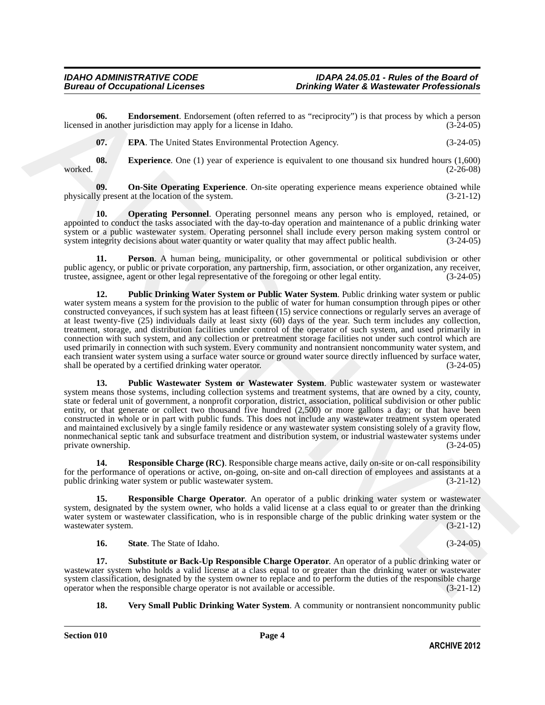**06. Endorsement**. Endorsement (often referred to as "reciprocity") is that process by which a person in another jurisdiction may apply for a license in Idaho. (3-24-05) licensed in another jurisdiction may apply for a license in Idaho.

<span id="page-3-3"></span><span id="page-3-2"></span><span id="page-3-1"></span><span id="page-3-0"></span>

| 07. | <b>EPA.</b> The United States Environmental Protection Agency. | $(3-24-05)$ |
|-----|----------------------------------------------------------------|-------------|
|     |                                                                |             |

**08.** Experience. One (1) year of experience is equivalent to one thousand six hundred hours (1,600) worked. (2-26-08)

**09. On-Site Operating Experience**. On-site operating experience means experience obtained while y present at the location of the system.  $(3-21-12)$ physically present at the location of the system.

<span id="page-3-4"></span>**10. Operating Personnel**. Operating personnel means any person who is employed, retained, or appointed to conduct the tasks associated with the day-to-day operation and maintenance of a public drinking water system or a public wastewater system. Operating personnel shall include every person making system control or system integrity decisions about water quantity or water quality that may affect public health. (3-24-05)

<span id="page-3-6"></span><span id="page-3-5"></span>**11. Person**. A human being, municipality, or other governmental or political subdivision or other public agency, or public or private corporation, any partnership, firm, association, or other organization, any receiver, trustee, assignee, agent or other legal representative of the foregoing or other legal entity. (3-24 trustee, assignee, agent or other legal representative of the foregoing or other legal entity. (3-24-05)

166. Enthrement, Frainwaren (other referration is "nectricity") is that process by which a present of the solution of the solution of the solution of  $(3.346)$ <br>
67. EPA The United State Secretization is equivalent to our **12. Public Drinking Water System or Public Water System**. Public drinking water system or public water system means a system for the provision to the public of water for human consumption through pipes or other constructed conveyances, if such system has at least fifteen (15) service connections or regularly serves an average of at least twenty-five (25) individuals daily at least sixty (60) days of the year. Such term includes any collection, treatment, storage, and distribution facilities under control of the operator of such system, and used primarily in connection with such system, and any collection or pretreatment storage facilities not under such control which are used primarily in connection with such system. Every community and nontransient noncommunity water system, and each transient water system using a surface water source or ground water source directly influenced by surface water, shall be operated by a certified drinking water operator. (3-24-05) shall be operated by a certified drinking water operator.

<span id="page-3-7"></span>**13. Public Wastewater System or Wastewater System**. Public wastewater system or wastewater system means those systems, including collection systems and treatment systems, that are owned by a city, county, state or federal unit of government, a nonprofit corporation, district, association, political subdivision or other public entity, or that generate or collect two thousand five hundred (2,500) or more gallons a day; or that have been constructed in whole or in part with public funds. This does not include any wastewater treatment system operated and maintained exclusively by a single family residence or any wastewater system consisting solely of a gravity flow, nonmechanical septic tank and subsurface treatment and distribution system, or industrial wastewater systems under private ownership. (3-24-05)

<span id="page-3-8"></span>**14. Responsible Charge (RC)**. Responsible charge means active, daily on-site or on-call responsibility for the performance of operations or active, on-going, on-site and on-call direction of employees and assistants at a public drinking water system or public wastewater system. (3-21-12)

**15. Responsible Charge Operator**. An operator of a public drinking water system or wastewater system, designated by the system owner, who holds a valid license at a class equal to or greater than the drinking water system or wastewater classification, who is in responsible charge of the public drinking water system or the wastewater system. (3-21-12)

<span id="page-3-11"></span><span id="page-3-10"></span><span id="page-3-9"></span>**16. State**. The State of Idaho. (3-24-05)

**17. Substitute or Back-Up Responsible Charge Operator**. An operator of a public drinking water or wastewater system who holds a valid license at a class equal to or greater than the drinking water or wastewater system classification, designated by the system owner to replace and to perform the duties of the responsible charge operator when the responsible charge operator is not available or accessible. (3-21-12)

<span id="page-3-12"></span>**18. Very Small Public Drinking Water System**. A community or nontransient noncommunity public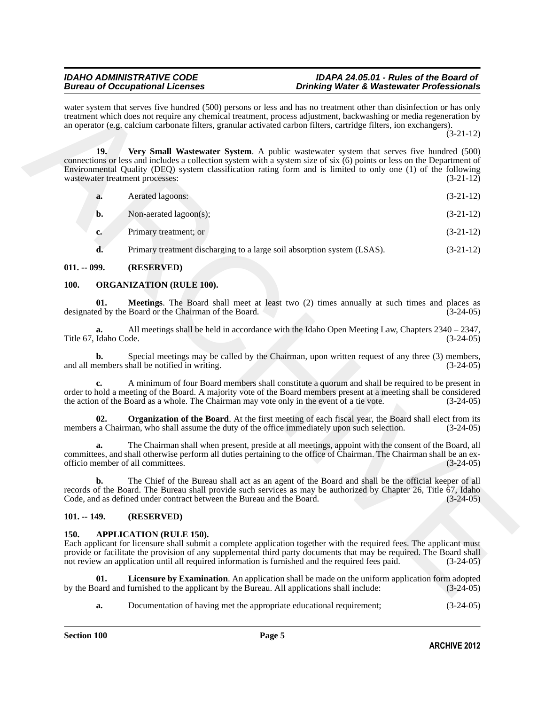water system that serves five hundred (500) persons or less and has no treatment other than disinfection or has only treatment which does not require any chemical treatment, process adjustment, backwashing or media regeneration by an operator (e.g. calcium carbonate filters, granular activated carbon filters, cartridge filters, ion exchangers).

(3-21-12)

was system that agrees five handed (500) persons or less and tax to transmission or has distinction or has a matter of the properties of the system of the particle of the system of the system of the system of the system o **19. Very Small Wastewater System**. A public wastewater system that serves five hundred (500) connections or less and includes a collection system with a system size of six (6) points or less on the Department of Environmental Quality (DEQ) system classification rating form and is limited to only one (1) of the following wastewater treatment processes: (3-21-12)

<span id="page-4-6"></span>

| a. | Aerated lagoons: | $(3-21-12)$ |
|----|------------------|-------------|
|    |                  |             |

**b.** Non-aerated lagoon(s);  $(3-21-12)$ 

- **c.** Primary treatment; or (3-21-12)
- <span id="page-4-8"></span><span id="page-4-7"></span>**d.** Primary treatment discharging to a large soil absorption system (LSAS). (3-21-12)

### <span id="page-4-0"></span>**011. -- 099. (RESERVED)**

### <span id="page-4-1"></span>**100. ORGANIZATION (RULE 100).**

**01. Meetings**. The Board shall meet at least two (2) times annually at such times and places as ed by the Board or the Chairman of the Board. (3-24-05) designated by the Board or the Chairman of the Board.

**a.** All meetings shall be held in accordance with the Idaho Open Meeting Law, Chapters 2340 – 2347, Idaho Code. (3-24-05) Title 67, Idaho Code.

**b.** Special meetings may be called by the Chairman, upon written request of any three (3) members, nembers shall be notified in writing. and all members shall be notified in writing.

**c.** A minimum of four Board members shall constitute a quorum and shall be required to be present in order to hold a meeting of the Board. A majority vote of the Board members present at a meeting shall be considered the action of the Board as a whole. The Chairman may vote only in the event of a tie vote. (3-24-05) the action of the Board as a whole. The Chairman may vote only in the event of a tie vote.

<span id="page-4-9"></span>**02.** Organization of the Board. At the first meeting of each fiscal year, the Board shall elect from its members a Chairman, who shall assume the duty of the office immediately upon such selection.  $(3-24-05)$ 

**a.** The Chairman shall when present, preside at all meetings, appoint with the consent of the Board, all committees, and shall otherwise perform all duties pertaining to the office of Chairman. The Chairman shall be an ex-<br>officio member of all committees. officio member of all committees. (3-24-05)

**b.** The Chief of the Bureau shall act as an agent of the Board and shall be the official keeper of all records of the Board. The Bureau shall provide such services as may be authorized by Chapter 26, Title 67, Idaho<br>Code, and as defined under contract between the Bureau and the Board. (3-24-05) Code, and as defined under contract between the Bureau and the Board.

### <span id="page-4-2"></span>**101. -- 149. (RESERVED)**

### <span id="page-4-4"></span><span id="page-4-3"></span>**150. APPLICATION (RULE 150).**

Each applicant for licensure shall submit a complete application together with the required fees. The applicant must provide or facilitate the provision of any supplemental third party documents that may be required. The Board shall not review an application until all required information is furnished and the required fees paid. (3-24-05)

**01.** Licensure by Examination. An application shall be made on the uniform application form adopted pard and furnished to the applicant by the Bureau. All applications shall include:  $(3-24-05)$ by the Board and furnished to the applicant by the Bureau. All applications shall include:

<span id="page-4-5"></span>**a.** Documentation of having met the appropriate educational requirement; (3-24-05)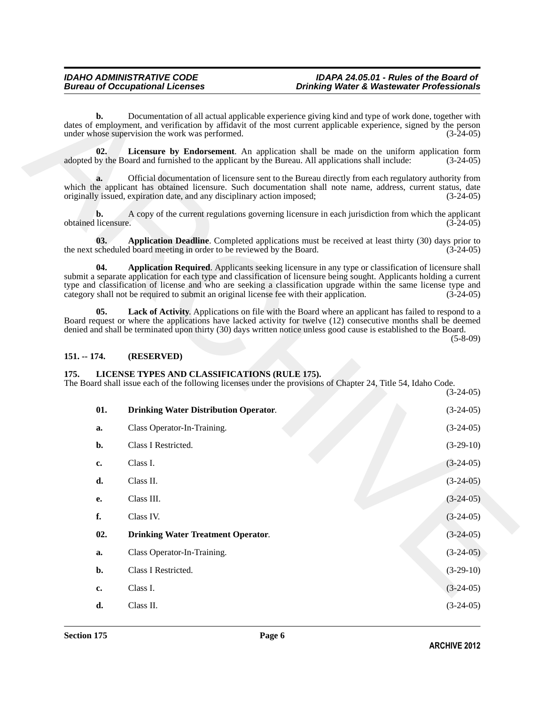### <span id="page-5-4"></span><span id="page-5-3"></span><span id="page-5-2"></span><span id="page-5-0"></span>**151. -- 174. (RESERVED)**

### <span id="page-5-8"></span><span id="page-5-7"></span><span id="page-5-6"></span><span id="page-5-1"></span>**175. LICENSE TYPES AND CLASSIFICATIONS (RULE 175).**

<span id="page-5-5"></span>

| b.                        | Documentation of all actual applicable experience giving kind and type of work done, together with<br>dates of employment, and verification by affidavit of the most current applicable experience, signed by the person<br>under whose supervision the work was performed.                                                                                                                                                                   | $(3-24-05)$ |
|---------------------------|-----------------------------------------------------------------------------------------------------------------------------------------------------------------------------------------------------------------------------------------------------------------------------------------------------------------------------------------------------------------------------------------------------------------------------------------------|-------------|
| 02.                       | Licensure by Endorsement. An application shall be made on the uniform application form<br>adopted by the Board and furnished to the applicant by the Bureau. All applications shall include:                                                                                                                                                                                                                                                  | $(3-24-05)$ |
| a.                        | Official documentation of licensure sent to the Bureau directly from each regulatory authority from<br>which the applicant has obtained licensure. Such documentation shall note name, address, current status, date<br>originally issued, expiration date, and any disciplinary action imposed;                                                                                                                                              | $(3-24-05)$ |
| b.<br>obtained licensure. | A copy of the current regulations governing licensure in each jurisdiction from which the applicant                                                                                                                                                                                                                                                                                                                                           | $(3-24-05)$ |
| 03.                       | Application Deadline. Completed applications must be received at least thirty (30) days prior to<br>the next scheduled board meeting in order to be reviewed by the Board.                                                                                                                                                                                                                                                                    | $(3-24-05)$ |
| 04.                       | Application Required. Applicants seeking licensure in any type or classification of licensure shall<br>submit a separate application for each type and classification of licensure being sought. Applicants holding a current<br>type and classification of license and who are seeking a classification upgrade within the same license type and<br>category shall not be required to submit an original license fee with their application. | $(3-24-05)$ |
| 05.                       | Lack of Activity. Applications on file with the Board where an applicant has failed to respond to a<br>Board request or where the applications have lacked activity for twelve (12) consecutive months shall be deemed<br>denied and shall be terminated upon thirty (30) days written notice unless good cause is established to the Board.                                                                                                  | $(5-8-09)$  |
| $151. - 174.$             | (RESERVED)                                                                                                                                                                                                                                                                                                                                                                                                                                    |             |
| 175.                      | LICENSE TYPES AND CLASSIFICATIONS (RULE 175).                                                                                                                                                                                                                                                                                                                                                                                                 |             |
|                           | The Board shall issue each of the following licenses under the provisions of Chapter 24, Title 54, Idaho Code.                                                                                                                                                                                                                                                                                                                                | $(3-24-05)$ |
| 01.                       | <b>Drinking Water Distribution Operator.</b>                                                                                                                                                                                                                                                                                                                                                                                                  | $(3-24-05)$ |
| a.                        | Class Operator-In-Training.                                                                                                                                                                                                                                                                                                                                                                                                                   | $(3-24-05)$ |
| b.                        | Class I Restricted.                                                                                                                                                                                                                                                                                                                                                                                                                           | $(3-29-10)$ |
| c.                        | Class I.                                                                                                                                                                                                                                                                                                                                                                                                                                      | $(3-24-05)$ |
| d.                        | Class II.                                                                                                                                                                                                                                                                                                                                                                                                                                     | $(3-24-05)$ |
| e.                        | Class III.                                                                                                                                                                                                                                                                                                                                                                                                                                    | $(3-24-05)$ |
| f.                        | Class IV.                                                                                                                                                                                                                                                                                                                                                                                                                                     | $(3-24-05)$ |
| 02.                       | <b>Drinking Water Treatment Operator.</b>                                                                                                                                                                                                                                                                                                                                                                                                     | $(3-24-05)$ |
| a.                        | Class Operator-In-Training.                                                                                                                                                                                                                                                                                                                                                                                                                   | $(3-24-05)$ |
| b.                        | Class I Restricted.                                                                                                                                                                                                                                                                                                                                                                                                                           | $(3-29-10)$ |
| c.                        | Class I.                                                                                                                                                                                                                                                                                                                                                                                                                                      | $(3-24-05)$ |
| d.                        | Class II.                                                                                                                                                                                                                                                                                                                                                                                                                                     | $(3-24-05)$ |
|                           |                                                                                                                                                                                                                                                                                                                                                                                                                                               |             |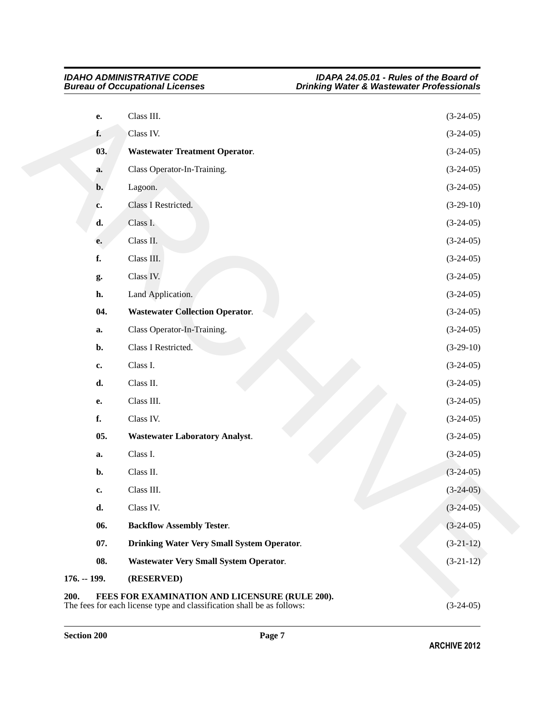<span id="page-6-8"></span><span id="page-6-7"></span><span id="page-6-6"></span><span id="page-6-5"></span><span id="page-6-4"></span><span id="page-6-3"></span><span id="page-6-2"></span><span id="page-6-1"></span><span id="page-6-0"></span>

| e.             | Class III.                                                             | $(3-24-05)$ |
|----------------|------------------------------------------------------------------------|-------------|
| f.             | Class IV.                                                              | $(3-24-05)$ |
| 03.            | <b>Wastewater Treatment Operator.</b>                                  | $(3-24-05)$ |
| a.             | Class Operator-In-Training.                                            | $(3-24-05)$ |
| $\mathbf{b}$ . | Lagoon.                                                                | $(3-24-05)$ |
| c.             | Class I Restricted.                                                    | $(3-29-10)$ |
| d.             | Class I.                                                               | $(3-24-05)$ |
| e.             | Class II.                                                              | $(3-24-05)$ |
| f.             | Class III.                                                             | $(3-24-05)$ |
| g.             | Class IV.                                                              | $(3-24-05)$ |
| h.             | Land Application.                                                      | $(3-24-05)$ |
| 04.            | <b>Wastewater Collection Operator.</b>                                 | $(3-24-05)$ |
| a.             | Class Operator-In-Training.                                            | $(3-24-05)$ |
| b.             | Class I Restricted.                                                    | $(3-29-10)$ |
| c.             | Class I.                                                               | $(3-24-05)$ |
| d.             | Class II.                                                              | $(3-24-05)$ |
| e.             | Class III.                                                             | $(3-24-05)$ |
| f.             | Class IV.                                                              | $(3-24-05)$ |
| 05.            | <b>Wastewater Laboratory Analyst.</b>                                  | $(3-24-05)$ |
| a.             | Class I.                                                               | $(3-24-05)$ |
| b.             | Class II.                                                              | $(3-24-05)$ |
| c.             | Class III.                                                             | $(3-24-05)$ |
| d.             | Class IV.                                                              | $(3-24-05)$ |
| 06.            | <b>Backflow Assembly Tester.</b>                                       | $(3-24-05)$ |
| 07.            | <b>Drinking Water Very Small System Operator.</b>                      | $(3-21-12)$ |
| 08.            | <b>Wastewater Very Small System Operator.</b>                          | $(3-21-12)$ |
| $176. - 199.$  | (RESERVED)                                                             |             |
| 200.           | FEES FOR EXAMINATION AND LICENSURE (RULE 200).                         |             |
|                | The fees for each license type and classification shall be as follows: | $(3-24-05)$ |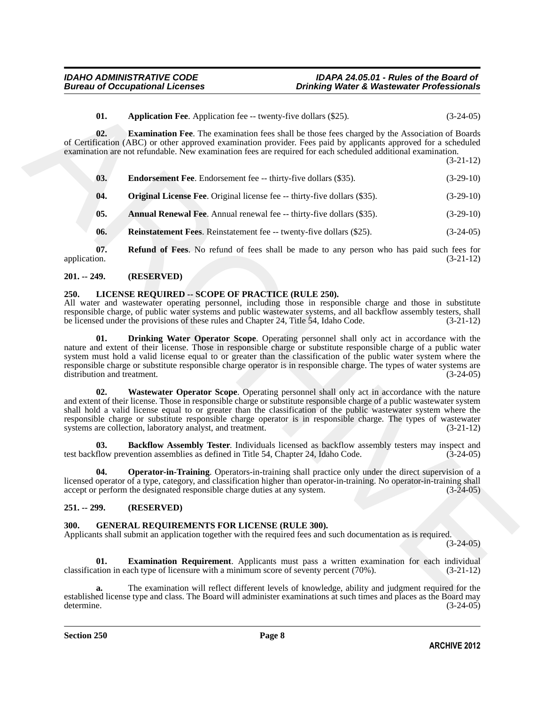<span id="page-7-7"></span><span id="page-7-5"></span>

| 01. | <b>Application Fee.</b> Application fee -- twenty-five dollars (\$25). | $(3-24-05)$ |
|-----|------------------------------------------------------------------------|-------------|
|-----|------------------------------------------------------------------------|-------------|

**02. Examination Fee**. The examination fees shall be those fees charged by the Association of Boards of Certification (ABC) or other approved examination provider. Fees paid by applicants approved for a scheduled examination are not refundable. New examination fees are required for each scheduled additional examination.

(3-21-12)

<span id="page-7-6"></span>

| 03. | <b>Endorsement Fee.</b> Endorsement fee -- thirty-five dollars (\$35). | $(3-29-10)$ |
|-----|------------------------------------------------------------------------|-------------|
|     |                                                                        |             |

- <span id="page-7-8"></span>**04.** Original License Fee. Original license fee -- thirty-five dollars (\$35). (3-29-10)
- <span id="page-7-4"></span>**05.** Annual Renewal Fee. Annual renewal fee -- thirty-five dollars (\$35). (3-29-10)
- <span id="page-7-10"></span><span id="page-7-9"></span>**06. Reinstatement Fees**. Reinstatement fee -- twenty-five dollars (\$25). (3-24-05)

**07. Refund of Fees**. No refund of fees shall be made to any person who has paid such fees for application. (3-21-12) application. (3-21-12)

### <span id="page-7-0"></span>**201. -- 249. (RESERVED)**

### <span id="page-7-13"></span><span id="page-7-1"></span>**250. LICENSE REQUIRED -- SCOPE OF PRACTICE (RULE 250).**

All water and wastewater operating personnel, including those in responsible charge and those in substitute responsible charge, of public water systems and public wastewater systems, and all backflow assembly testers, shall be licensed under the provisions of these rules and Chapter 24, Title 54, Idaho Code. (3-21-12)

<span id="page-7-17"></span><span id="page-7-15"></span>**01. Drinking Water Operator Scope**. Operating personnel shall only act in accordance with the nature and extent of their license. Those in responsible charge or substitute responsible charge of a public water system must hold a valid license equal to or greater than the classification of the public water system where the responsible charge or substitute responsible charge operator is in responsible charge. The types of water systems are distribution and treatment.

**41.** Application Fig. coverage five dollars (325).<br> **(3246)**<br> **(3246)**<br> **(426)**<br> **confinementally be a Resolution Fig. confidention fig. show the four-strategies per approximate and the solution of the solution of the so 02. Wastewater Operator Scope**. Operating personnel shall only act in accordance with the nature and extent of their license. Those in responsible charge or substitute responsible charge of a public wastewater system shall hold a valid license equal to or greater than the classification of the public wastewater system where the responsible charge or substitute responsible charge operator is in responsible charge. The types of wastewater systems are collection, laboratory analyst, and treatment. (3-21-12)

<span id="page-7-14"></span>**03. Backflow Assembly Tester**. Individuals licensed as backflow assembly testers may inspect and flow prevention assemblies as defined in Title 54. Chapter 24. Idaho Code. (3-24-05) test backflow prevention assemblies as defined in Title 54, Chapter 24, Idaho Code.

<span id="page-7-16"></span>**04. Operator-in-Training**. Operators-in-training shall practice only under the direct supervision of a licensed operator of a type, category, and classification higher than operator-in-training. No operator-in-training shall accept or perform the designated responsible charge duties at any system.  $(3-24-05)$ accept or perform the designated responsible charge duties at any system.

### <span id="page-7-2"></span>**251. -- 299. (RESERVED)**

### <span id="page-7-11"></span><span id="page-7-3"></span>**300. GENERAL REQUIREMENTS FOR LICENSE (RULE 300).**

Applicants shall submit an application together with the required fees and such documentation as is required.

 $(3-24-05)$ 

<span id="page-7-12"></span>**01. Examination Requirement**. Applicants must pass a written examination for each individual tion in each type of licensure with a minimum score of seventy percent (70%). (3-21-12) classification in each type of licensure with a minimum score of seventy percent (70%).

**a.** The examination will reflect different levels of knowledge, ability and judgment required for the established license type and class. The Board will administer examinations at such times and places as the Board may<br>(3-24-05) determine. (3-24-05)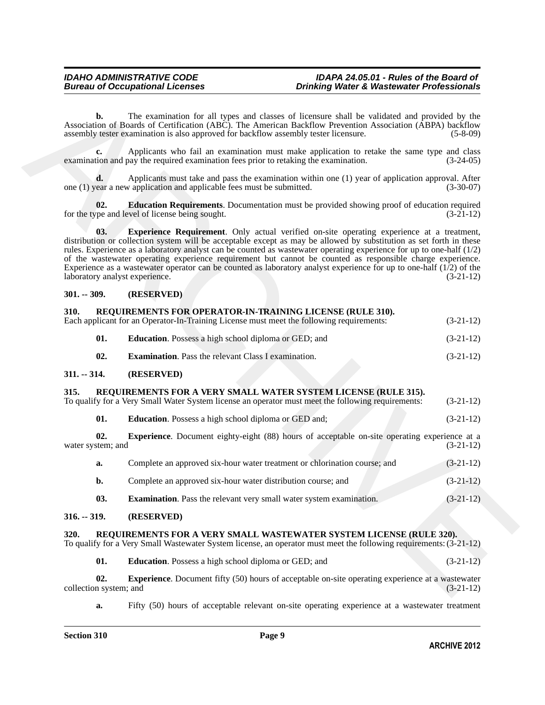### <span id="page-8-17"></span><span id="page-8-16"></span><span id="page-8-15"></span><span id="page-8-11"></span><span id="page-8-7"></span><span id="page-8-6"></span><span id="page-8-3"></span><span id="page-8-2"></span><span id="page-8-1"></span><span id="page-8-0"></span>**301. -- 309. (RESERVED)**

|                                       | The examination for all types and classes of licensure shall be validated and provided by the<br>Association of Boards of Certification (ABC). The American Backflow Prevention Association (ABPA) backflow<br>assembly tester examination is also approved for backflow assembly tester licensure.                                                                                                                                                                                                                                                                                       | $(5-8-09)$  |
|---------------------------------------|-------------------------------------------------------------------------------------------------------------------------------------------------------------------------------------------------------------------------------------------------------------------------------------------------------------------------------------------------------------------------------------------------------------------------------------------------------------------------------------------------------------------------------------------------------------------------------------------|-------------|
| c.                                    | Applicants who fail an examination must make application to retake the same type and class<br>examination and pay the required examination fees prior to retaking the examination.                                                                                                                                                                                                                                                                                                                                                                                                        | $(3-24-05)$ |
| d.                                    | Applicants must take and pass the examination within one (1) year of application approval. After<br>one (1) year a new application and applicable fees must be submitted.                                                                                                                                                                                                                                                                                                                                                                                                                 | $(3-30-07)$ |
| 02.                                   | Education Requirements. Documentation must be provided showing proof of education required<br>for the type and level of license being sought.                                                                                                                                                                                                                                                                                                                                                                                                                                             | $(3-21-12)$ |
| 03.<br>laboratory analyst experience. | <b>Experience Requirement</b> . Only actual verified on-site operating experience at a treatment,<br>distribution or collection system will be acceptable except as may be allowed by substitution as set forth in these<br>rules. Experience as a laboratory analyst can be counted as wastewater operating experience for up to one-half $(1/2)$<br>of the wastewater operating experience requirement but cannot be counted as responsible charge experience.<br>Experience as a wastewater operator can be counted as laboratory analyst experience for up to one-half $(1/2)$ of the | $(3-21-12)$ |
| $301. - 309.$                         | (RESERVED)                                                                                                                                                                                                                                                                                                                                                                                                                                                                                                                                                                                |             |
| 310.                                  | REQUIREMENTS FOR OPERATOR-IN-TRAINING LICENSE (RULE 310).<br>Each applicant for an Operator-In-Training License must meet the following requirements:                                                                                                                                                                                                                                                                                                                                                                                                                                     | $(3-21-12)$ |
| 01.                                   | <b>Education</b> . Possess a high school diploma or GED; and                                                                                                                                                                                                                                                                                                                                                                                                                                                                                                                              | $(3-21-12)$ |
| 02.                                   | <b>Examination.</b> Pass the relevant Class I examination.                                                                                                                                                                                                                                                                                                                                                                                                                                                                                                                                | $(3-21-12)$ |
| $311. - 314.$                         | (RESERVED)                                                                                                                                                                                                                                                                                                                                                                                                                                                                                                                                                                                |             |
| 315.                                  | REQUIREMENTS FOR A VERY SMALL WATER SYSTEM LICENSE (RULE 315).<br>To qualify for a Very Small Water System license an operator must meet the following requirements:                                                                                                                                                                                                                                                                                                                                                                                                                      | $(3-21-12)$ |
| 01.                                   | <b>Education</b> . Possess a high school diploma or GED and;                                                                                                                                                                                                                                                                                                                                                                                                                                                                                                                              | $(3-21-12)$ |
| 02.<br>water system; and              | <b>Experience.</b> Document eighty-eight (88) hours of acceptable on-site operating experience at a                                                                                                                                                                                                                                                                                                                                                                                                                                                                                       | $(3-21-12)$ |
| a.                                    | Complete an approved six-hour water treatment or chlorination course; and                                                                                                                                                                                                                                                                                                                                                                                                                                                                                                                 | $(3-21-12)$ |
| b.                                    | Complete an approved six-hour water distribution course; and                                                                                                                                                                                                                                                                                                                                                                                                                                                                                                                              | $(3-21-12)$ |
| 03.                                   | Examination. Pass the relevant very small water system examination.                                                                                                                                                                                                                                                                                                                                                                                                                                                                                                                       | $(3-21-12)$ |
| $316. - 319.$                         | (RESERVED)                                                                                                                                                                                                                                                                                                                                                                                                                                                                                                                                                                                |             |
| 320.                                  | REQUIREMENTS FOR A VERY SMALL WASTEWATER SYSTEM LICENSE (RULE 320).<br>To qualify for a Very Small Wastewater System license, an operator must meet the following requirements: (3-21-12)                                                                                                                                                                                                                                                                                                                                                                                                 |             |
| 01.                                   | <b>Education</b> . Possess a high school diploma or GED; and                                                                                                                                                                                                                                                                                                                                                                                                                                                                                                                              | $(3-21-12)$ |
| 02.<br>collection system; and         | <b>Experience.</b> Document fifty (50) hours of acceptable on-site operating experience at a wastewater                                                                                                                                                                                                                                                                                                                                                                                                                                                                                   | $(3-21-12)$ |

### <span id="page-8-14"></span><span id="page-8-13"></span><span id="page-8-12"></span><span id="page-8-4"></span>**316. -- 319. (RESERVED)**

### <span id="page-8-8"></span><span id="page-8-5"></span>**320. REQUIREMENTS FOR A VERY SMALL WASTEWATER SYSTEM LICENSE (RULE 320).**

<span id="page-8-10"></span><span id="page-8-9"></span>

| 01. | <b>Education.</b> Possess a high school diploma or GED; and | $(3-21-12)$ |
|-----|-------------------------------------------------------------|-------------|
|-----|-------------------------------------------------------------|-------------|

**a.** Fifty (50) hours of acceptable relevant on-site operating experience at a wastewater treatment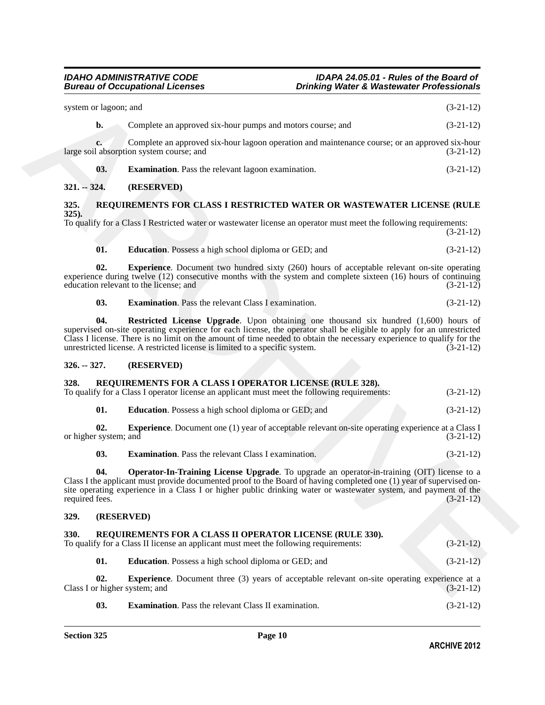<span id="page-9-20"></span><span id="page-9-19"></span><span id="page-9-18"></span><span id="page-9-17"></span><span id="page-9-16"></span><span id="page-9-15"></span><span id="page-9-1"></span><span id="page-9-0"></span>

| system or lagoon; and                |                                                                                                                                                                                                                                                                                                                                                                                                                       | $(3-21-12)$ |
|--------------------------------------|-----------------------------------------------------------------------------------------------------------------------------------------------------------------------------------------------------------------------------------------------------------------------------------------------------------------------------------------------------------------------------------------------------------------------|-------------|
| $b$ .                                | Complete an approved six-hour pumps and motors course; and                                                                                                                                                                                                                                                                                                                                                            | $(3-21-12)$ |
| c.                                   | Complete an approved six-hour lagoon operation and maintenance course; or an approved six-hour<br>large soil absorption system course; and                                                                                                                                                                                                                                                                            | $(3-21-12)$ |
| 03.                                  | <b>Examination</b> . Pass the relevant lagoon examination.                                                                                                                                                                                                                                                                                                                                                            | $(3-21-12)$ |
| $321. - 324.$                        | (RESERVED)                                                                                                                                                                                                                                                                                                                                                                                                            |             |
| 325.                                 | REQUIREMENTS FOR CLASS I RESTRICTED WATER OR WASTEWATER LICENSE (RULE                                                                                                                                                                                                                                                                                                                                                 |             |
| $325$ ).                             | To qualify for a Class I Restricted water or wastewater license an operator must meet the following requirements:                                                                                                                                                                                                                                                                                                     | $(3-21-12)$ |
| 01.                                  | <b>Education.</b> Possess a high school diploma or GED; and                                                                                                                                                                                                                                                                                                                                                           | $(3-21-12)$ |
| 02.                                  | <b>Experience</b> . Document two hundred sixty (260) hours of acceptable relevant on-site operating<br>experience during twelve (12) consecutive months with the system and complete sixteen (16) hours of continuing<br>education relevant to the license; and                                                                                                                                                       | $(3-21-12)$ |
| 03.                                  | <b>Examination.</b> Pass the relevant Class I examination.                                                                                                                                                                                                                                                                                                                                                            | $(3-21-12)$ |
| 04.                                  | Restricted License Upgrade. Upon obtaining one thousand six hundred (1,600) hours of<br>supervised on-site operating experience for each license, the operator shall be eligible to apply for an unrestricted<br>Class I license. There is no limit on the amount of time needed to obtain the necessary experience to qualify for the<br>unrestricted license. A restricted license is limited to a specific system. | $(3-21-12)$ |
| $326. - 327.$                        | (RESERVED)                                                                                                                                                                                                                                                                                                                                                                                                            |             |
| 328.                                 | REQUIREMENTS FOR A CLASS I OPERATOR LICENSE (RULE 328).<br>To qualify for a Class I operator license an applicant must meet the following requirements:                                                                                                                                                                                                                                                               | $(3-21-12)$ |
| 01.                                  | <b>Education</b> . Possess a high school diploma or GED; and                                                                                                                                                                                                                                                                                                                                                          | $(3-21-12)$ |
| 02.<br>or higher system; and         | <b>Experience.</b> Document one (1) year of acceptable relevant on-site operating experience at a Class I                                                                                                                                                                                                                                                                                                             | $(3-21-12)$ |
| 03.                                  | <b>Examination.</b> Pass the relevant Class I examination.                                                                                                                                                                                                                                                                                                                                                            | $(3-21-12)$ |
| 04.<br>required fees.                | <b>Operator-In-Training License Upgrade</b> . To upgrade an operator-in-training (OIT) license to a<br>Class I the applicant must provide documented proof to the Board of having completed one (1) year of supervised on-<br>site operating experience in a Class I or higher public drinking water or wastewater system, and payment of the                                                                         | $(3-21-12)$ |
| 329.<br>(RESERVED)                   |                                                                                                                                                                                                                                                                                                                                                                                                                       |             |
| 330.                                 | REQUIREMENTS FOR A CLASS II OPERATOR LICENSE (RULE 330).<br>To qualify for a Class II license an applicant must meet the following requirements:                                                                                                                                                                                                                                                                      | $(3-21-12)$ |
| 01.                                  | Education. Possess a high school diploma or GED; and                                                                                                                                                                                                                                                                                                                                                                  | $(3-21-12)$ |
| 02.<br>Class I or higher system; and | <b>Experience.</b> Document three (3) years of acceptable relevant on-site operating experience at a                                                                                                                                                                                                                                                                                                                  | $(3-21-12)$ |

<span id="page-9-14"></span><span id="page-9-13"></span><span id="page-9-12"></span><span id="page-9-11"></span><span id="page-9-10"></span><span id="page-9-9"></span><span id="page-9-8"></span><span id="page-9-7"></span><span id="page-9-6"></span><span id="page-9-5"></span><span id="page-9-4"></span><span id="page-9-3"></span><span id="page-9-2"></span>**03. Examination**. Pass the relevant Class II examination. (3-21-12)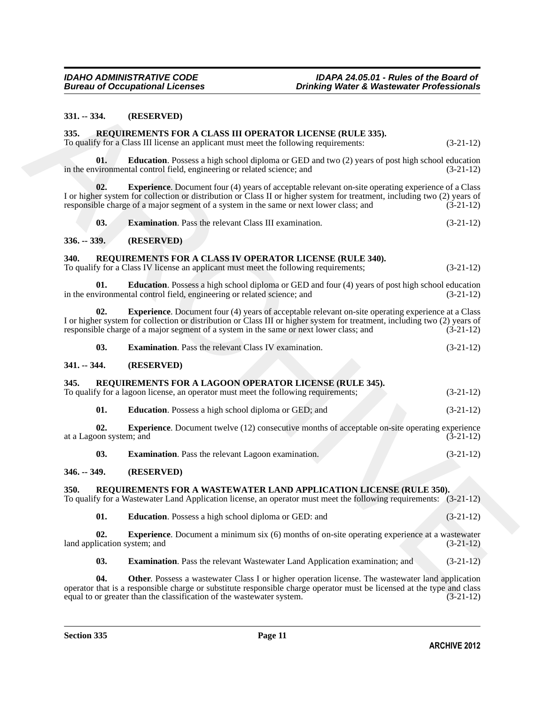### <span id="page-10-0"></span>**331. -- 334. (RESERVED)**

### <span id="page-10-9"></span><span id="page-10-8"></span><span id="page-10-1"></span>**335. REQUIREMENTS FOR A CLASS III OPERATOR LICENSE (RULE 335).**

<span id="page-10-12"></span><span id="page-10-11"></span><span id="page-10-10"></span>

| 03. | <b>Examination.</b> Pass the relevant Class III examination. | $(3-21-12)$ |
|-----|--------------------------------------------------------------|-------------|
|-----|--------------------------------------------------------------|-------------|

### <span id="page-10-2"></span>**336. -- 339. (RESERVED)**

### <span id="page-10-13"></span><span id="page-10-3"></span>**340. REQUIREMENTS FOR A CLASS IV OPERATOR LICENSE (RULE 340).**

| 02. | <b>Experience.</b> Document four (4) years of acceptable relevant on-site operating experience at a Class                 |             |
|-----|---------------------------------------------------------------------------------------------------------------------------|-------------|
|     | I or higher system for collection or distribution or Class III or higher system for treatment, including two (2) years of |             |
|     | responsible charge of a major segment of a system in the same or next lower class; and                                    | $(3-21-12)$ |

<span id="page-10-17"></span><span id="page-10-16"></span><span id="page-10-15"></span><span id="page-10-14"></span>

| 03.<br><b>Examination.</b> Pass the relevant Class IV examination. | $(3-21-12)$ |
|--------------------------------------------------------------------|-------------|
|--------------------------------------------------------------------|-------------|

### <span id="page-10-5"></span><span id="page-10-4"></span>**341. -- 344. (RESERVED)**

| 335.                                | REQUIREMENTS FOR A CLASS III OPERATOR LICENSE (RULE 335).<br>To qualify for a Class III license an applicant must meet the following requirements:                                                                                                                                                                               | $(3-21-12)$ |
|-------------------------------------|----------------------------------------------------------------------------------------------------------------------------------------------------------------------------------------------------------------------------------------------------------------------------------------------------------------------------------|-------------|
| 01.                                 | <b>Education</b> . Possess a high school diploma or GED and two (2) years of post high school education<br>in the environmental control field, engineering or related science; and                                                                                                                                               | $(3-21-12)$ |
| 02.                                 | <b>Experience.</b> Document four (4) years of acceptable relevant on-site operating experience of a Class<br>I or higher system for collection or distribution or Class II or higher system for treatment, including two (2) years of<br>responsible charge of a major segment of a system in the same or next lower class; and  | $(3-21-12)$ |
| 03.                                 | <b>Examination.</b> Pass the relevant Class III examination.                                                                                                                                                                                                                                                                     | $(3-21-12)$ |
| $336. - 339.$                       | (RESERVED)                                                                                                                                                                                                                                                                                                                       |             |
| 340.                                | REQUIREMENTS FOR A CLASS IV OPERATOR LICENSE (RULE 340).<br>To qualify for a Class IV license an applicant must meet the following requirements;                                                                                                                                                                                 | $(3-21-12)$ |
| 01.                                 | <b>Education</b> . Possess a high school diploma or GED and four (4) years of post high school education<br>in the environmental control field, engineering or related science; and                                                                                                                                              | $(3-21-12)$ |
| 02.                                 | <b>Experience.</b> Document four (4) years of acceptable relevant on-site operating experience at a Class<br>I or higher system for collection or distribution or Class III or higher system for treatment, including two (2) years of<br>responsible charge of a major segment of a system in the same or next lower class; and | $(3-21-12)$ |
| 03.                                 | <b>Examination.</b> Pass the relevant Class IV examination.                                                                                                                                                                                                                                                                      | $(3-21-12)$ |
| 341. -- 344.                        | (RESERVED)                                                                                                                                                                                                                                                                                                                       |             |
| 345.                                | REQUIREMENTS FOR A LAGOON OPERATOR LICENSE (RULE 345).<br>To qualify for a lagoon license, an operator must meet the following requirements;                                                                                                                                                                                     | $(3-21-12)$ |
| 01.                                 | <b>Education</b> . Possess a high school diploma or GED; and                                                                                                                                                                                                                                                                     | $(3-21-12)$ |
| 02.<br>at a Lagoon system; and      | <b>Experience</b> . Document twelve (12) consecutive months of acceptable on-site operating experience                                                                                                                                                                                                                           | $(3-21-12)$ |
| 03.                                 | <b>Examination.</b> Pass the relevant Lagoon examination.                                                                                                                                                                                                                                                                        | $(3-21-12)$ |
| $346. - 349.$                       | (RESERVED)                                                                                                                                                                                                                                                                                                                       |             |
| <b>350.</b>                         | REQUIREMENTS FOR A WASTEWATER LAND APPLICATION LICENSE (RULE 350).<br>To qualify for a Wastewater Land Application license, an operator must meet the following requirements: (3-21-12)                                                                                                                                          |             |
| 01.                                 | <b>Education.</b> Possess a high school diploma or GED: and                                                                                                                                                                                                                                                                      | $(3-21-12)$ |
| 02.<br>land application system; and | <b>Experience.</b> Document a minimum six (6) months of on-site operating experience at a wastewater                                                                                                                                                                                                                             | $(3-21-12)$ |
|                                     | <b>Examination.</b> Pass the relevant Wastewater Land Application examination; and                                                                                                                                                                                                                                               | $(3-21-12)$ |

### <span id="page-10-19"></span><span id="page-10-18"></span><span id="page-10-6"></span>**346. -- 349. (RESERVED)**

### <span id="page-10-20"></span><span id="page-10-7"></span>**350. REQUIREMENTS FOR A WASTEWATER LAND APPLICATION LICENSE (RULE 350).**

<span id="page-10-23"></span><span id="page-10-22"></span><span id="page-10-21"></span>

| - 01. | <b>Education.</b> Possess a high school diploma or GED: and | $(3-21-12)$ |  |
|-------|-------------------------------------------------------------|-------------|--|
|-------|-------------------------------------------------------------|-------------|--|

<span id="page-10-24"></span>**04.** Other. Possess a wastewater Class I or higher operation license. The wastewater land application operator that is a responsible charge or substitute responsible charge operator must be licensed at the type and class equal to or greater than the classification of the wastewater system.  $(3-21-12)$ equal to or greater than the classification of the wastewater system.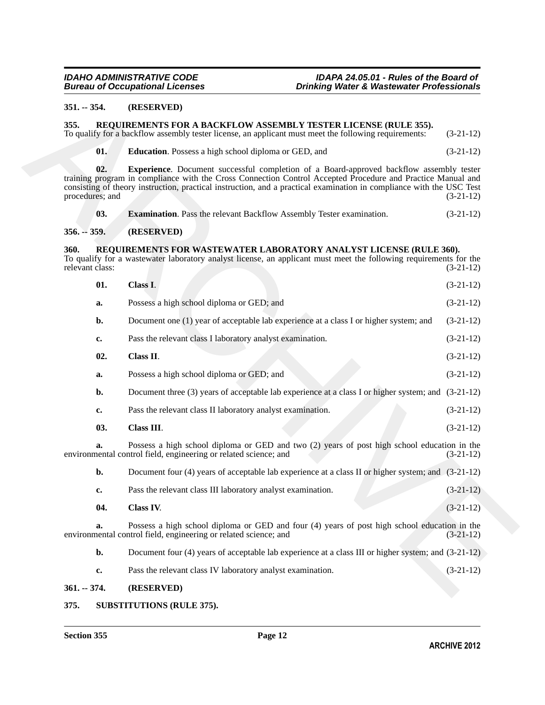### <span id="page-11-0"></span>**351. -- 354. (RESERVED)**

### <span id="page-11-12"></span><span id="page-11-11"></span><span id="page-11-10"></span><span id="page-11-9"></span><span id="page-11-8"></span><span id="page-11-7"></span><span id="page-11-6"></span><span id="page-11-3"></span><span id="page-11-2"></span><span id="page-11-1"></span>**355. REQUIREMENTS FOR A BACKFLOW ASSEMBLY TESTER LICENSE (RULE 355).**

| $351. - 354.$           |     | (RESERVED)                                                                                                                                                                                                                                                                                                                             |             |
|-------------------------|-----|----------------------------------------------------------------------------------------------------------------------------------------------------------------------------------------------------------------------------------------------------------------------------------------------------------------------------------------|-------------|
| 355.                    |     | REQUIREMENTS FOR A BACKFLOW ASSEMBLY TESTER LICENSE (RULE 355).<br>To qualify for a backflow assembly tester license, an applicant must meet the following requirements:                                                                                                                                                               | $(3-21-12)$ |
|                         | 01. | <b>Education.</b> Possess a high school diploma or GED, and                                                                                                                                                                                                                                                                            | $(3-21-12)$ |
| procedures; and         | 02. | <b>Experience</b> . Document successful completion of a Board-approved backflow assembly tester<br>training program in compliance with the Cross Connection Control Accepted Procedure and Practice Manual and<br>consisting of theory instruction, practical instruction, and a practical examination in compliance with the USC Test | $(3-21-12)$ |
|                         | 03. | <b>Examination</b> . Pass the relevant Backflow Assembly Tester examination.                                                                                                                                                                                                                                                           | $(3-21-12)$ |
| $356. - 359.$           |     | (RESERVED)                                                                                                                                                                                                                                                                                                                             |             |
| 360.<br>relevant class: |     | REQUIREMENTS FOR WASTEWATER LABORATORY ANALYST LICENSE (RULE 360).<br>To qualify for a wastewater laboratory analyst license, an applicant must meet the following requirements for the                                                                                                                                                | $(3-21-12)$ |
|                         | 01. | Class I.                                                                                                                                                                                                                                                                                                                               | $(3-21-12)$ |
|                         | a.  | Possess a high school diploma or GED; and                                                                                                                                                                                                                                                                                              | $(3-21-12)$ |
|                         | b.  | Document one (1) year of acceptable lab experience at a class I or higher system; and                                                                                                                                                                                                                                                  | $(3-21-12)$ |
|                         | c.  | Pass the relevant class I laboratory analyst examination.                                                                                                                                                                                                                                                                              | $(3-21-12)$ |
|                         | 02. | Class II.                                                                                                                                                                                                                                                                                                                              | $(3-21-12)$ |
|                         | a.  | Possess a high school diploma or GED; and                                                                                                                                                                                                                                                                                              | $(3-21-12)$ |
|                         | b.  | Document three (3) years of acceptable lab experience at a class I or higher system; and (3-21-12)                                                                                                                                                                                                                                     |             |
|                         | c.  | Pass the relevant class II laboratory analyst examination.                                                                                                                                                                                                                                                                             | $(3-21-12)$ |
|                         | 03. | Class III.                                                                                                                                                                                                                                                                                                                             | $(3-21-12)$ |
|                         | a.  | Possess a high school diploma or GED and two (2) years of post high school education in the<br>environmental control field, engineering or related science; and                                                                                                                                                                        | $(3-21-12)$ |
|                         | b.  | Document four (4) years of acceptable lab experience at a class II or higher system; and $(3-21-12)$                                                                                                                                                                                                                                   |             |
|                         | c.  | Pass the relevant class III laboratory analyst examination.                                                                                                                                                                                                                                                                            | $(3-21-12)$ |
|                         | 04. | Class IV.                                                                                                                                                                                                                                                                                                                              | $(3-21-12)$ |
|                         | a.  | Possess a high school diploma or GED and four (4) years of post high school education in the<br>environmental control field, engineering or related science; and                                                                                                                                                                       | $(3-21-12)$ |
|                         | b.  | Document four (4) years of acceptable lab experience at a class III or higher system; and (3-21-12)                                                                                                                                                                                                                                    |             |
|                         | c.  | Pass the relevant class IV laboratory analyst examination.                                                                                                                                                                                                                                                                             | $(3-21-12)$ |
| $361 - 374$ .           |     | (RESERVED)                                                                                                                                                                                                                                                                                                                             |             |

# <span id="page-11-14"></span><span id="page-11-13"></span><span id="page-11-4"></span>**361. -- 374. (RESERVED)**

### <span id="page-11-15"></span><span id="page-11-5"></span>**375. SUBSTITUTIONS (RULE 375).**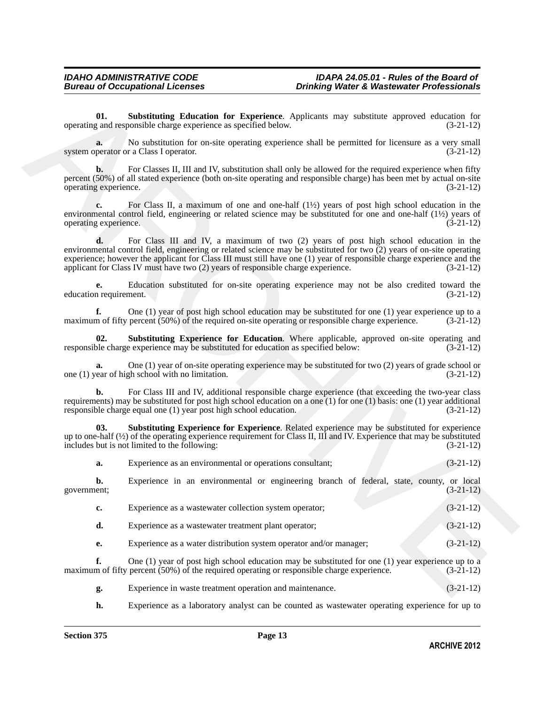<span id="page-12-0"></span>**01. Substituting Education for Experience**. Applicants may substitute approved education for operating and responsible charge experience as specified below. (3-21-12)

**a.** No substitution for on-site operating experience shall be permitted for licensure as a very small system operator or a Class I operator. (3-21-12)

**b.** For Classes II, III and IV, substitution shall only be allowed for the required experience when fifty percent (50%) of all stated experience (both on-site operating and responsible charge) has been met by actual on-site operating experience. (3-21-12)

**c.** For Class II, a maximum of one and one-half (1½) years of post high school education in the environmental control field, engineering or related science may be substituted for one and one-half  $(1\frac{1}{2})$  years of operating experience.  $(3-21-12)$ operating experience.

**EXAMPLE CONFIRM CONTRACT CONFIRM CONFIRM CONTRACT THE CONFIRM CONFIRM CONFIRM CONFIRM (3.11.2)<br>
Source Confirm Confirm Confirm Confirm Confirm Confirm Confirm Confirm Confirm Confirm Confirm Confirm Confirm Confirm Confi d.** For Class III and IV, a maximum of two (2) years of post high school education in the environmental control field, engineering or related science may be substituted for two (2) years of on-site operating experience; however the applicant for Class III must still have one (1) year of responsible charge experience and the applicant for Class IV must have two (2) years of responsible charge experience. (3-21-12)

**e.** Education substituted for on-site operating experience may not be also credited toward the nequirement. (3-21-12) education requirement.

**f.** One (1) year of post high school education may be substituted for one (1) year experience up to a maximum of fifty percent (50%) of the required on-site operating or responsible charge experience. (3-21-12)

<span id="page-12-1"></span>**02. Substituting Experience for Education**. Where applicable, approved on-site operating and ble charge experience may be substituted for education as specified below:  $(3-21-12)$ responsible charge experience may be substituted for education as specified below:

**a.** One (1) year of on-site operating experience may be substituted for two (2) years of grade school or ear of high school with no limitation. (3-21-12) one  $(1)$  year of high school with no limitation.

**b.** For Class III and IV, additional responsible charge experience (that exceeding the two-year class requirements) may be substituted for post high school education on a one (1) for one (1) basis: one (1) year additional responsible charge equal one (1) year post high school education.  $(3-21-12)$ responsible charge equal one  $(1)$  year post high school education.

**03. Substituting Experience for Experience**. Related experience may be substituted for experience up to one-half (½) of the operating experience requirement for Class II, III and IV. Experience that may be substituted includes but is not limited to the following: (3-21-12)

<span id="page-12-2"></span>

| a. | Experience as an environmental or operations consultant: |  |  | $(3-21-12)$ |
|----|----------------------------------------------------------|--|--|-------------|
|    |                                                          |  |  |             |

**b.** Experience in an environmental or engineering branch of federal, state, county, or local government; (3-21-12) government; (3-21-12)

| c. | Experience as a wastewater collection system operator;             | $(3-21-12)$ |
|----|--------------------------------------------------------------------|-------------|
| d. | Experience as a wastewater treatment plant operator;               | $(3-21-12)$ |
|    | Experience as a water distribution system operator and/or manager; | $(3-21-12)$ |

**f.** One (1) year of post high school education may be substituted for one (1) year experience up to a maximum of fifty percent (50%) of the required operating or responsible charge experience. (3-21-12)

**g.** Experience in waste treatment operation and maintenance. (3-21-12)

**h.** Experience as a laboratory analyst can be counted as wastewater operating experience for up to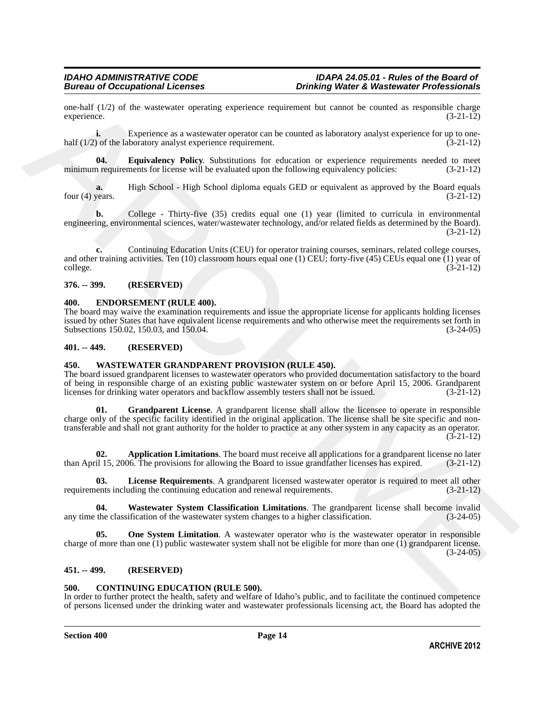one-half  $(1/2)$  of the wastewater operating experience requirement but cannot be counted as responsible charge experience.  $(3-21-12)$ experience. (3-21-12)

**i.** Experience as a wastewater operator can be counted as laboratory analyst experience for up to onehalf (1/2) of the laboratory analyst experience requirement. (3-21-12)

<span id="page-13-8"></span>**04. Equivalency Policy**. Substitutions for education or experience requirements needed to meet in requirements for license will be evaluated upon the following equivalency policies:  $(3-21-12)$ minimum requirements for license will be evaluated upon the following equivalency policies:

**a.** High School - High School diploma equals GED or equivalent as approved by the Board equals four (4) years.  $(3-21-12)$ 

**b.** College - Thirty-five (35) credits equal one (1) year (limited to curricula in environmental engineering, environmental sciences, water/wastewater technology, and/or related fields as determined by the Board). (3-21-12)

**c.** Continuing Education Units (CEU) for operator training courses, seminars, related college courses, and other training activities. Ten (10) classroom hours equal one (1) CEU; forty-five (45) CEUs equal one (1) year of college. (3-21-12)

### <span id="page-13-0"></span>**376. -- 399. (RESERVED)**

### <span id="page-13-7"></span><span id="page-13-1"></span>**400. ENDORSEMENT (RULE 400).**

The board may waive the examination requirements and issue the appropriate license for applicants holding licenses issued by other States that have equivalent license requirements and who otherwise meet the requirements set forth in Subsections 150.02, 150.03, and 150.04.

### <span id="page-13-2"></span>**401. -- 449. (RESERVED)**

### <span id="page-13-9"></span><span id="page-13-3"></span>**450. WASTEWATER GRANDPARENT PROVISION (RULE 450).**

<span id="page-13-11"></span>The board issued grandparent licenses to wastewater operators who provided documentation satisfactory to the board of being in responsible charge of an existing public wastewater system on or before April 15, 2006. Grandparent licenses for drinking water operators and backflow assembly testers shall not be issued. (3-21-12) licenses for drinking water operators and backflow assembly testers shall not be issued.

stephen (1/2) of the waterstate operator experience continenes bar cannot be connected as responsible (3.112)<br>
Stephen Experience, a a waterstate operator operator and the connect state of the connect state of the connect **01. Grandparent License**. A grandparent license shall allow the licensee to operate in responsible charge only of the specific facility identified in the original application. The license shall be site specific and nontransferable and shall not grant authority for the holder to practice at any other system in any capacity as an operator. (3-21-12)

<span id="page-13-10"></span>**02. Application Limitations**. The board must receive all applications for a grandparent license no later il 15, 2006. The provisions for allowing the Board to issue grandfather licenses has expired. (3-21-12) than April 15, 2006. The provisions for allowing the Board to issue grandfather licenses has expired.

<span id="page-13-12"></span>**03.** License Requirements. A grandparent licensed wastewater operator is required to meet all other lents including the continuing education and renewal requirements. (3-21-12) requirements including the continuing education and renewal requirements.

<span id="page-13-14"></span>**04.** Wastewater System Classification Limitations. The grandparent license shall become invalid the classification of the wastewater system changes to a higher classification. (3-24-05) any time the classification of the wastewater system changes to a higher classification.

<span id="page-13-13"></span>**05. One System Limitation**. A wastewater operator who is the wastewater operator in responsible charge of more than one  $(1)$  public wastewater system shall not be eligible for more than one  $(1)$  grandparent license.  $(3-24-05)$ 

### <span id="page-13-4"></span>**451. -- 499. (RESERVED)**

### <span id="page-13-6"></span><span id="page-13-5"></span>**500. CONTINUING EDUCATION (RULE 500).**

In order to further protect the health, safety and welfare of Idaho's public, and to facilitate the continued competence of persons licensed under the drinking water and wastewater professionals licensing act, the Board has adopted the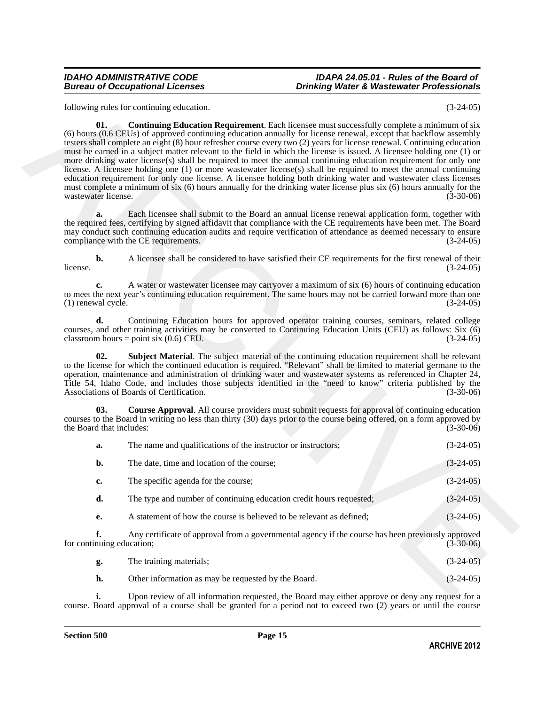<span id="page-14-0"></span>

| $(3-24-05)$ | following rules for continuing education.                                                                                                                                                                                                                                                                                                                                                                                                                                                                                                                                                                                                                                                                                                                                                                                                                                                                                                                                                         |  |
|-------------|---------------------------------------------------------------------------------------------------------------------------------------------------------------------------------------------------------------------------------------------------------------------------------------------------------------------------------------------------------------------------------------------------------------------------------------------------------------------------------------------------------------------------------------------------------------------------------------------------------------------------------------------------------------------------------------------------------------------------------------------------------------------------------------------------------------------------------------------------------------------------------------------------------------------------------------------------------------------------------------------------|--|
| $(3-30-06)$ | <b>Continuing Education Requirement</b> . Each licensee must successfully complete a minimum of six<br>01.<br>(6) hours (0.6 CEUs) of approved continuing education annually for license renewal, except that backflow assembly<br>testers shall complete an eight (8) hour refresher course every two (2) years for license renewal. Continuing education<br>must be earned in a subject matter relevant to the field in which the license is issued. A licensee holding one (1) or<br>more drinking water license(s) shall be required to meet the annual continuing education requirement for only one<br>license. A licensee holding one (1) or more wastewater license(s) shall be required to meet the annual continuing<br>education requirement for only one license. A licensee holding both drinking water and wastewater class licenses<br>must complete a minimum of six (6) hours annually for the drinking water license plus six (6) hours annually for the<br>wastewater license. |  |
| $(3-24-05)$ | Each licensee shall submit to the Board an annual license renewal application form, together with<br>a.<br>the required fees, certifying by signed affidavit that compliance with the CE requirements have been met. The Board<br>may conduct such continuing education audits and require verification of attendance as deemed necessary to ensure<br>compliance with the CE requirements.                                                                                                                                                                                                                                                                                                                                                                                                                                                                                                                                                                                                       |  |
| $(3-24-05)$ | $\mathbf{b}$ .<br>A licensee shall be considered to have satisfied their CE requirements for the first renewal of their<br>license.                                                                                                                                                                                                                                                                                                                                                                                                                                                                                                                                                                                                                                                                                                                                                                                                                                                               |  |
| $(3-24-05)$ | A water or wastewater licensee may carryover a maximum of six (6) hours of continuing education<br>c.<br>to meet the next year's continuing education requirement. The same hours may not be carried forward more than one<br>(1) renewal cycle.                                                                                                                                                                                                                                                                                                                                                                                                                                                                                                                                                                                                                                                                                                                                                  |  |
| $(3-24-05)$ | Continuing Education hours for approved operator training courses, seminars, related college<br>d.<br>courses, and other training activities may be converted to Continuing Education Units (CEU) as follows: Six (6)<br>classroom hours = point six $(0.6)$ CEU.                                                                                                                                                                                                                                                                                                                                                                                                                                                                                                                                                                                                                                                                                                                                 |  |
| $(3-30-06)$ | 02.<br><b>Subject Material</b> . The subject material of the continuing education requirement shall be relevant<br>to the license for which the continued education is required. "Relevant" shall be limited to material germane to the<br>operation, maintenance and administration of drinking water and wastewater systems as referenced in Chapter 24,<br>Title 54, Idaho Code, and includes those subjects identified in the "need to know" criteria published by the<br>Associations of Boards of Certification.                                                                                                                                                                                                                                                                                                                                                                                                                                                                            |  |
| $(3-30-06)$ | 03.<br><b>Course Approval.</b> All course providers must submit requests for approval of continuing education<br>courses to the Board in writing no less than thirty (30) days prior to the course being offered, on a form approved by<br>the Board that includes:                                                                                                                                                                                                                                                                                                                                                                                                                                                                                                                                                                                                                                                                                                                               |  |
| $(3-24-05)$ | The name and qualifications of the instructor or instructors;<br>a.                                                                                                                                                                                                                                                                                                                                                                                                                                                                                                                                                                                                                                                                                                                                                                                                                                                                                                                               |  |
| $(3-24-05)$ | b.<br>The date, time and location of the course;                                                                                                                                                                                                                                                                                                                                                                                                                                                                                                                                                                                                                                                                                                                                                                                                                                                                                                                                                  |  |
| $(3-24-05)$ | The specific agenda for the course;<br>c.                                                                                                                                                                                                                                                                                                                                                                                                                                                                                                                                                                                                                                                                                                                                                                                                                                                                                                                                                         |  |
| $(3-24-05)$ | The type and number of continuing education credit hours requested;<br>d.                                                                                                                                                                                                                                                                                                                                                                                                                                                                                                                                                                                                                                                                                                                                                                                                                                                                                                                         |  |
| $(3-24-05)$ | A statement of how the course is believed to be relevant as defined;<br>e.                                                                                                                                                                                                                                                                                                                                                                                                                                                                                                                                                                                                                                                                                                                                                                                                                                                                                                                        |  |
| $(3-30-06)$ | f.<br>Any certificate of approval from a governmental agency if the course has been previously approved<br>for continuing education;                                                                                                                                                                                                                                                                                                                                                                                                                                                                                                                                                                                                                                                                                                                                                                                                                                                              |  |
| $(3-24-05)$ | The training materials;<br>g.                                                                                                                                                                                                                                                                                                                                                                                                                                                                                                                                                                                                                                                                                                                                                                                                                                                                                                                                                                     |  |
| $(3-24-05)$ | h.<br>Other information as may be requested by the Board.                                                                                                                                                                                                                                                                                                                                                                                                                                                                                                                                                                                                                                                                                                                                                                                                                                                                                                                                         |  |
|             | Upon review of all information requested the Board may either approve or deny any request for a                                                                                                                                                                                                                                                                                                                                                                                                                                                                                                                                                                                                                                                                                                                                                                                                                                                                                                   |  |

<span id="page-14-2"></span><span id="page-14-1"></span>

| g. | The training materials; | $(3-24-05)$ |
|----|-------------------------|-------------|
|    |                         |             |

**i.** Upon review of all information requested, the Board may either approve or deny any request for a course. Board approval of a course shall be granted for a period not to exceed two (2) years or until the course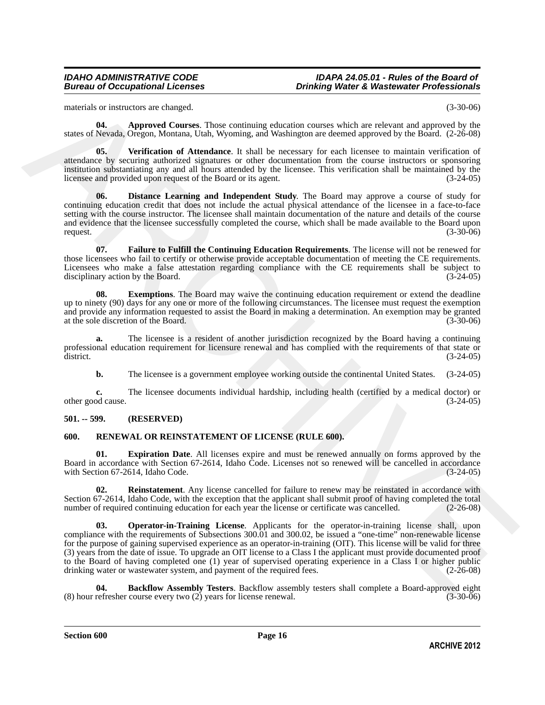materials or instructors are changed. (3-30-06)

<span id="page-15-2"></span>**04. Approved Courses**. Those continuing education courses which are relevant and approved by the states of Nevada, Oregon, Montana, Utah, Wyoming, and Washington are deemed approved by the Board. (2-26-08)

<span id="page-15-6"></span>**05. Verification of Attendance**. It shall be necessary for each licensee to maintain verification of attendance by securing authorized signatures or other documentation from the course instructors or sponsoring institution substantiating any and all hours attended by the licensee. This verification shall be maintained by the licensee and provided upon request of the Board or its agent. (3-24-05)

<span id="page-15-3"></span>**06. Distance Learning and Independent Study**. The Board may approve a course of study for continuing education credit that does not include the actual physical attendance of the licensee in a face-to-face setting with the course instructor. The licensee shall maintain documentation of the nature and details of the course and evidence that the licensee successfully completed the course, which shall be made available to the Board upon request. (3-30-06)

<span id="page-15-5"></span>**07. Failure to Fulfill the Continuing Education Requirements**. The license will not be renewed for those licensees who fail to certify or otherwise provide acceptable documentation of meeting the CE requirements. Licensees who make a false attestation regarding compliance with the CE requirements shall be subject to disciplinary action by the Board. (3-24-05) disciplinary action by the Board.

<span id="page-15-4"></span>**08. Exemptions**. The Board may waive the continuing education requirement or extend the deadline up to ninety (90) days for any one or more of the following circumstances. The licensee must request the exemption and provide any information requested to assist the Board in making a determination. An exemption may be granted at the sole discretion of the Board. (3-30-06)

**a.** The licensee is a resident of another jurisdiction recognized by the Board having a continuing professional education requirement for licensure renewal and has complied with the requirements of that state or district. (3-24-05) district.  $(3-24-05)$ 

**b.** The licensee is a government employee working outside the continental United States.  $(3-24-05)$ 

**c.** The licensee documents individual hardship, including health (certified by a medical doctor) or other good cause. (3-24-05)

### <span id="page-15-0"></span>**501. -- 599. (RESERVED)**

### <span id="page-15-7"></span><span id="page-15-1"></span>**600. RENEWAL OR REINSTATEMENT OF LICENSE (RULE 600).**

<span id="page-15-9"></span>**01. Expiration Date**. All licenses expire and must be renewed annually on forms approved by the Board in accordance with Section 67-2614, Idaho Code. Licenses not so renewed will be cancelled in accordance with Section 67-2614, Idaho Code. (3-24-05)

<span id="page-15-11"></span><span id="page-15-10"></span>**02. Reinstatement**. Any license cancelled for failure to renew may be reinstated in accordance with Section 67-2614, Idaho Code, with the exception that the applicant shall submit proof of having completed the total number of required continuing education for each vear the license or certificate was cancelled. (2-26-08) number of required continuing education for each year the license or certificate was cancelled.

materials of Newton's an change.<br>
Thus continuing changing materials of Newton's and Research in the state of Newton's Changing materials of Newton's Changing Thus<br>
tattes of Newton's Changing materials of Newton's Changi **03. Operator-in-Training License**. Applicants for the operator-in-training license shall, upon compliance with the requirements of Subsections 300.01 and 300.02, be issued a "one-time" non-renewable license for the purpose of gaining supervised experience as an operator-in-training (OIT). This license will be valid for three (3) years from the date of issue. To upgrade an OIT license to a Class I the applicant must provide documented proof to the Board of having completed one (1) year of supervised operating experience in a Class I or higher public drinking water or wastewater system, and payment of the required fees. (2-26-08) drinking water or wastewater system, and payment of the required fees.

<span id="page-15-8"></span>**04. Backflow Assembly Testers**. Backflow assembly testers shall complete a Board-approved eight refresher course every two (2) years for license renewal. (3-30-06) (8) hour refresher course every two  $(2)$  years for license renewal.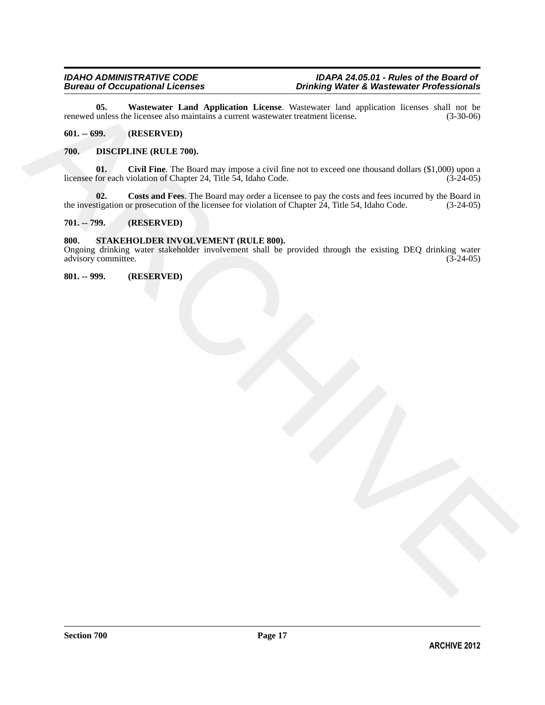<span id="page-16-8"></span>**05.** Wastewater Land Application License. Wastewater land application licenses shall not be unless the licensee also maintains a current wastewater treatment license. (3-30-06) renewed unless the licensee also maintains a current wastewater treatment license.

### <span id="page-16-0"></span>**601. -- 699. (RESERVED)**

### <span id="page-16-6"></span><span id="page-16-5"></span><span id="page-16-1"></span>**700. DISCIPLINE (RULE 700).**

tensor at the Waterware Fund Application Licence, Westerstein Individual Excess that is the second test of the second test of the second for the second for the second for the second for the second for the second for the s **01.** Civil Fine. The Board may impose a civil fine not to exceed one thousand dollars (\$1,000) upon a for each violation of Chapter 24, Title 54, Idaho Code. (3-24-05) licensee for each violation of Chapter 24, Title 54, Idaho Code.

<span id="page-16-7"></span>**02.** Costs and Fees. The Board may order a licensee to pay the costs and fees incurred by the Board in tigation or prosecution of the licensee for violation of Chapter 24, Title 54, Idaho Code. (3-24-05) the investigation or prosecution of the licensee for violation of Chapter 24, Title 54, Idaho Code.

### <span id="page-16-2"></span>**701. -- 799. (RESERVED)**

### <span id="page-16-9"></span><span id="page-16-3"></span>**800. STAKEHOLDER INVOLVEMENT (RULE 800).**

Ongoing drinking water stakeholder involvement shall be provided through the existing DEQ drinking water advisory committee. (3-24-05) advisory committee.

<span id="page-16-4"></span>**801. -- 999. (RESERVED)**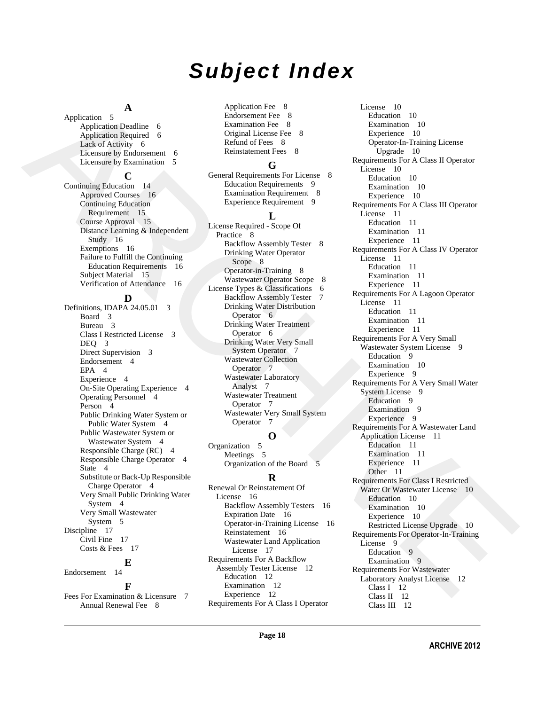# *Subject Index*

# **A**

Application 5 Application Deadline 6 Application Required 6 Lack of Activity 6 Licensure by Endorsement 6 Licensure by Examination 5

### **C**

Continuing Education 14 Approved Courses 16 Continuing Education Requirement 15 Course Approval 15 Distance Learning & Independent Study 16 Exemptions 16 Failure to Fulfill the Continuing Education Requirements 16 Subject Material 15 Verification of Attendance 16

# **D**

Definitions, IDAPA 24.05.01 3 Board 3 Bureau 3 Class I Restricted License 3 DEQ 3 Direct Supervision 3 Endorsement 4 EPA 4 Experience 4 On-Site Operating Experience 4 Operating Personnel 4 Person 4 Public Drinking Water System or Public Water System 4 Public Wastewater System or Wastewater System 4 Responsible Charge (RC) 4 Responsible Charge Operator 4 State 4 Substitute or Back-Up Responsible Charge Operator 4 Very Small Public Drinking Water System 4 Very Small Wastewater System 5 Discipline 17 Civil Fine 17 Costs & Fees 17 **E** Endorsement 14

# **F**

[Fees For Examination & Licensure 7](#page-6-2) [Annual Renewal Fee 8](#page-7-4)

Application Fee 8 Endorsement Fee 8 Examination Fee 8 Original License Fee 8 Refund of Fees 8 Reinstatement Fees 8

# **G**

General Requirements For License 8 Education Requirements 9 Examination Requirement 8 Experience Requirement 9

# **L**

License Required - Scope Of Practice 8 Backflow Assembly Tester 8 Drinking Water Operator Scope 8 Operator-in-Training 8 Wastewater Operator Scope 8 License Types & Classifications 6 Backflow Assembly Tester 7 Drinking Water Distribution Operator 6 Drinking Water Treatment Operator 6 Drinking Water Very Small System Operator 7 Wastewater Collection Operator<sub>7</sub> Wastewater Laboratory Analyst 7 Wastewater Treatment Operator 7 Wastewater Very Small System Operator 7

# **O**

Organization 5 Meetings 5 Organization of the Board 5

# **R**

Renewal Or Reinstatement Of License 16 Backflow Assembly Testers 16 Expiration Date 16 Operator-in-Training License 16 Reinstatement 16 Wastewater Land Application License 17 Requirements For A Backflow Assembly Tester License 12 Education 12 Examination 12 Experience 12 [Requirements For A Class I Operator](#page-9-6) 

Application 3 **Application**  $\frac{1}{2}$  Application  $\frac{1}{2}$  Application  $\frac{1}{2}$  Application [C](#page-7-15)ontrolline Controlline Controlline Controlline Controlline Controlline Controlline Controlline Controlline Controlline Control License 10 Education 10 Examination 10 Experience 10 Operator-In-Training License Upgrade 10 Requirements For A Class II Operator License 10 Education 10 Examination 10 Experience 10 Requirements For A Class III Operator License 11 Education 11 Examination 11 Experience 11 Requirements For A Class IV Operator License 11 Education 11 Examination 11 Experience 11 Requirements For A Lagoon Operator License 11 Education 11 Examination 11 Experience 11 Requirements For A Very Small Wastewater System License 9 Education 9 Examination 10 Experience 9 Requirements For A Very Small Water System License 9 Education 9 Examination 9 Experience 9 Requirements For A Wastewater Land Application License 11 Education 11 Examination 11 Experience 11 Other 11 Requirements For Class I Restricted Water Or Wastewater License 10 Education 10 Examination 10 Experience 10 Restricted License Upgrade 10 Requirements For Operator-In-Training License 9 Education 9 Examination 9 Requirements For Wastewater Laboratory Analyst License 12 Class I 12 Class II 12 [Class III 12](#page-11-13)